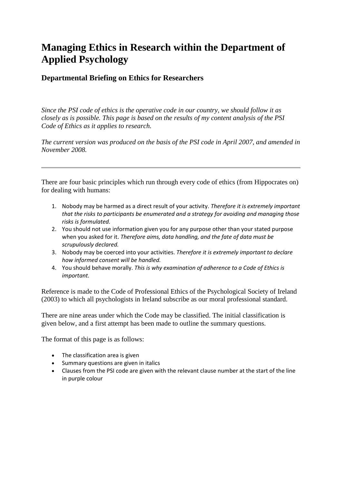# **Managing Ethics in Research within the Department of Applied Psychology**

## **Departmental Briefing on Ethics for Researchers**

*Since the PSI code of ethics is the operative code in our country, we should follow it as closely as is possible. This page is based on the results of my content analysis of the PSI Code of Ethics as it applies to research.* 

*The current version was produced on the basis of the PSI code in April 2007, and amended in November 2008.*

There are four basic principles which run through every code of ethics (from Hippocrates on) for dealing with humans:

- 1. Nobody may be harmed as a direct result of your activity. *Therefore it is extremely important that the risks to participants be enumerated and a strategy for avoiding and managing those risks is formulated.*
- 2. You should not use information given you for any purpose other than your stated purpose when you asked for it. *Therefore aims, data handling, and the fate of data must be scrupulously declared.*
- 3. Nobody may be coerced into your activities. *Therefore it is extremely important to declare how informed consent will be handled.*
- 4. You should behave morally. *This is why examination of adherence to a Code of Ethics is important.*

Reference is made to the Code of Professional Ethics of the Psychological Society of Ireland (2003) to which all psychologists in Ireland subscribe as our moral professional standard.

There are nine areas under which the Code may be classified. The initial classification is given below, and a first attempt has been made to outline the summary questions.

The format of this page is as follows:

- The classification area is given
- Summary questions are given in italics
- Clauses from the PSI code are given with the relevant clause number at the start of the line in purple colour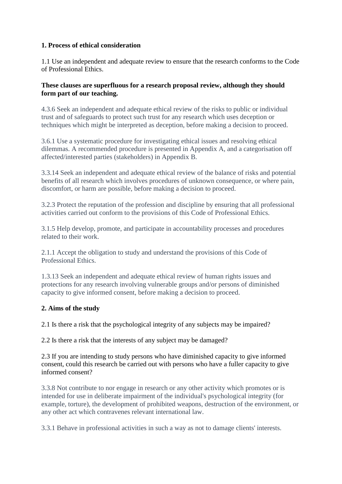#### **1. Process of ethical consideration**

1.1 Use an independent and adequate review to ensure that the research conforms to the Code of Professional Ethics.

#### **These clauses are superfluous for a research proposal review, although they should form part of our teaching.**

4.3.6 Seek an independent and adequate ethical review of the risks to public or individual trust and of safeguards to protect such trust for any research which uses deception or techniques which might be interpreted as deception, before making a decision to proceed.

3.6.1 Use a systematic procedure for investigating ethical issues and resolving ethical dilemmas. A recommended procedure is presented in Appendix A, and a categorisation off affected/interested parties (stakeholders) in Appendix B.

3.3.14 Seek an independent and adequate ethical review of the balance of risks and potential benefits of all research which involves procedures of unknown consequence, or where pain, discomfort, or harm are possible, before making a decision to proceed.

3.2.3 Protect the reputation of the profession and discipline by ensuring that all professional activities carried out conform to the provisions of this Code of Professional Ethics.

3.1.5 Help develop, promote, and participate in accountability processes and procedures related to their work.

2.1.1 Accept the obligation to study and understand the provisions of this Code of Professional Ethics.

1.3.13 Seek an independent and adequate ethical review of human rights issues and protections for any research involving vulnerable groups and/or persons of diminished capacity to give informed consent, before making a decision to proceed.

#### **2. Aims of the study**

2.1 Is there a risk that the psychological integrity of any subjects may be impaired?

2.2 Is there a risk that the interests of any subject may be damaged?

2.3 If you are intending to study persons who have diminished capacity to give informed consent, could this research be carried out with persons who have a fuller capacity to give informed consent?

3.3.8 Not contribute to nor engage in research or any other activity which promotes or is intended for use in deliberate impairment of the individual's psychological integrity (for example, torture), the development of prohibited weapons, destruction of the environment, or any other act which contravenes relevant international law.

3.3.1 Behave in professional activities in such a way as not to damage clients' interests.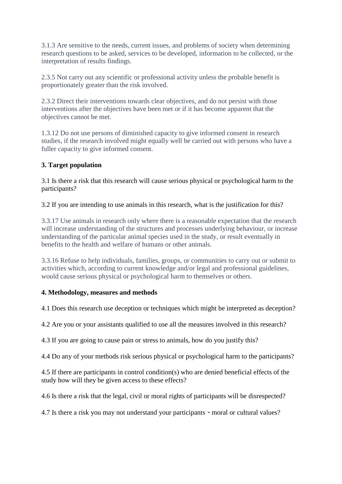3.1.3 Are sensitive to the needs, current issues, and problems of society when determining research questions to be asked, services to be developed, information to be collected, or the interpretation of results findings.

2.3.5 Not carry out any scientific or professional activity unless the probable benefit is proportionately greater than the risk involved.

2.3.2 Direct their interventions towards clear objectives, and do not persist with those interventions after the objectives have been met or if it has become apparent that the objectives cannot be met.

1.3.12 Do not use persons of diminished capacity to give informed consent in research studies, if the research involved might equally well be carried out with persons who have a fuller capacity to give informed consent.

#### **3. Target population**

3.1 Is there a risk that this research will cause serious physical or psychological harm to the participants?

3.2 If you are intending to use animals in this research, what is the justification for this?

3.3.17 Use animals in research only where there is a reasonable expectation that the research will increase understanding of the structures and processes underlying behaviour, or increase understanding of the particular animal species used in the study, or result eventually in benefits to the health and welfare of humans or other animals.

3.3.16 Refuse to help individuals, families, groups, or communities to carry out or submit to activities which, according to current knowledge and/or legal and professional guidelines, would cause serious physical or psychological harm to themselves or others.

#### **4. Methodology, measures and methods**

4.1 Does this research use deception or techniques which might be interpreted as deception?

4.2 Are you or your assistants qualified to use all the measures involved in this research?

4.3 If you are going to cause pain or stress to animals, how do you justify this?

4.4 Do any of your methods risk serious physical or psychological harm to the participants?

4.5 If there are participants in control condition(s) who are denied beneficial effects of the study how will they be given access to these effects?

4.6 Is there a risk that the legal, civil or moral rights of participants will be disrespected?

4.7 Is there a risk you may not understand your participants - moral or cultural values?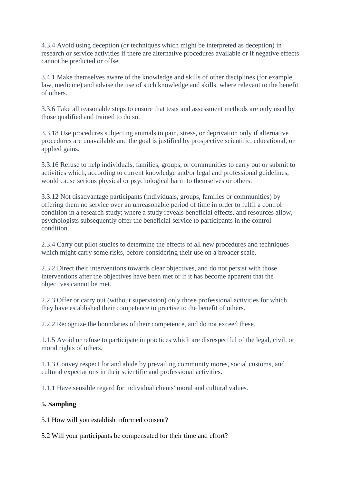4.3.4 Avoid using deception (or techniques which might be interpreted as deception) in research or service activities if there are alternative procedures available or if negative effects cannot be predicted or offset.

3.4.1 Make themselves aware of the knowledge and skills of other disciplines (for example, law, medicine) and advise the use of such knowledge and skills, where relevant to the benefit of others.

3.3.6 Take all reasonable steps to ensure that tests and assessment methods are only used by those qualified and trained to do so.

3.3.18 Use procedures subjecting animals to pain, stress, or deprivation only if alternative procedures are unavailable and the goal is justified by prospective scientific, educational, or applied gains.

3.3.16 Refuse to help individuals, families, groups, or communities to carry out or submit to activities which, according to current knowledge and/or legal and professional guidelines, would cause serious physical or psychological harm to themselves or others.

3.3.12 Not disadvantage participants (individuals, groups, families or communities) by offering them no service over an unreasonable period of time in order to fulfil a control condition in a research study; where a study reveals beneficial effects, and resources allow, psychologists subsequently offer the beneficial service to participants in the control condition.

2.3.4 Carry out pilot studies to determine the effects of all new procedures and techniques which might carry some risks, before considering their use on a broader scale.

2.3.2 Direct their interventions towards clear objectives, and do not persist with those interventions after the objectives have been met or if it has become apparent that the objectives cannot be met.

2.2.3 Offer or carry out (without supervision) only those professional activities for which they have established their competence to practise to the benefit of others.

2.2.2 Recognize the boundaries of their competence, and do not exceed these.

1.1.5 Avoid or refuse to participate in practices which are disrespectful of the legal, civil, or moral rights of others.

1.1.3 Convey respect for and abide by prevailing community mores, social customs, and cultural expectations in their scientific and professional activities.

1.1.1 Have sensible regard for individual clients' moral and cultural values.

## **5. Sampling**

5.1 How will you establish informed consent?

5.2 Will your participants be compensated for their time and effort?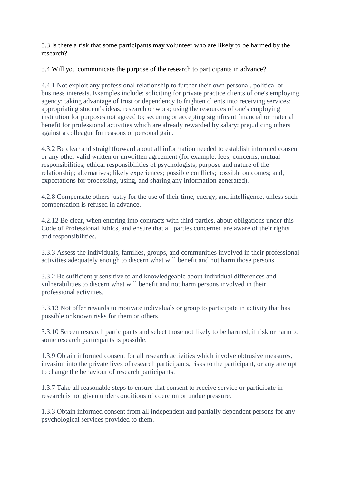5.3 Is there a risk that some participants may volunteer who are likely to be harmed by the research?

5.4 Will you communicate the purpose of the research to participants in advance?

4.4.1 Not exploit any professional relationship to further their own personal, political or business interests. Examples include: soliciting for private practice clients of one's employing agency; taking advantage of trust or dependency to frighten clients into receiving services; appropriating student's ideas, research or work; using the resources of one's employing institution for purposes not agreed to; securing or accepting significant financial or material benefit for professional activities which are already rewarded by salary; prejudicing others against a colleague for reasons of personal gain.

4.3.2 Be clear and straightforward about all information needed to establish informed consent or any other valid written or unwritten agreement (for example: fees; concerns; mutual responsibilities; ethical responsibilities of psychologists; purpose and nature of the relationship; alternatives; likely experiences; possible conflicts; possible outcomes; and, expectations for processing, using, and sharing any information generated).

4.2.8 Compensate others justly for the use of their time, energy, and intelligence, unless such compensation is refused in advance.

4.2.12 Be clear, when entering into contracts with third parties, about obligations under this Code of Professional Ethics, and ensure that all parties concerned are aware of their rights and responsibilities.

3.3.3 Assess the individuals, families, groups, and communities involved in their professional activities adequately enough to discern what will benefit and not harm those persons.

3.3.2 Be sufficiently sensitive to and knowledgeable about individual differences and vulnerabilities to discern what will benefit and not harm persons involved in their professional activities.

3.3.13 Not offer rewards to motivate individuals or group to participate in activity that has possible or known risks for them or others.

3.3.10 Screen research participants and select those not likely to be harmed, if risk or harm to some research participants is possible.

1.3.9 Obtain informed consent for all research activities which involve obtrusive measures, invasion into the private lives of research participants, risks to the participant, or any attempt to change the behaviour of research participants.

1.3.7 Take all reasonable steps to ensure that consent to receive service or participate in research is not given under conditions of coercion or undue pressure.

1.3.3 Obtain informed consent from all independent and partially dependent persons for any psychological services provided to them.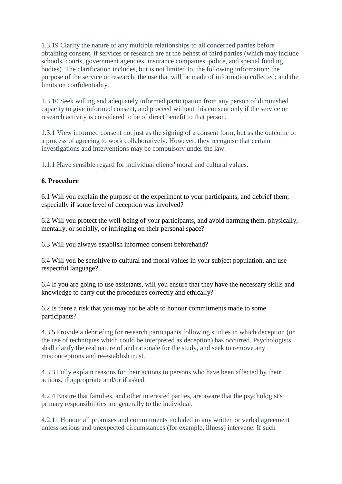1.3.19 Clarify the nature of any multiple relationships to all concerned parties before obtaining consent, if services or research are at the behest of third parties (which may include schools, courts, government agencies, insurance companies, police, and special funding bodies). The clarification includes, but is not limited to, the following information: the purpose of the service or research; the use that will be made of information collected; and the limits on confidentiality.

1.3.10 Seek willing and adequately informed participation from any person of diminished capacity to give informed consent, and proceed without this consent only if the service or research activity is considered to be of direct benefit to that person.

1.3.1 View informed consent not just as the signing of a consent form, but as the outcome of a process of agreeing to work collaboratively. However, they recognise that certain investigations and interventions may be compulsory under the law.

1.1.1 Have sensible regard for individual clients' moral and cultural values.

#### **6. Procedure**

6.1 Will you explain the purpose of the experiment to your participants, and debrief them, especially if some level of deception was involved?

6.2 Will you protect the well-being of your participants, and avoid harming them, physically, mentally, or socially, or infringing on their personal space?

6.3 Will you always establish informed consent beforehand?

6.4 Will you be sensitive to cultural and moral values in your subject population, and use respectful language?

6.4 If you are going to use assistants, will you ensure that they have the necessary skills and knowledge to carry out the procedures correctly and ethically?

6.2 Is there a risk that you may not be able to honour commitments made to some participants?

4.3.5 Provide a debriefing for research participants following studies in which deception (or the use of techniques which could be interpreted as deception) has occurred. Psychologists shall clarify the real nature of and rationale for the study, and seek to remove any misconceptions and re-establish trust.

4.3.3 Fully explain reasons for their actions to persons who have been affected by their actions, if appropriate and/or if asked.

4.2.4 Ensure that families, and other interested parties, are aware that the psychologist's primary responsibilities are generally to the individual.

4.2.11 Honour all promises and commitments included in any written or verbal agreement unless serious and unexpected circumstances (for example, illness) intervene. If such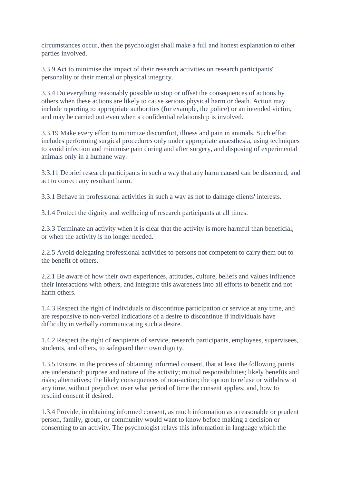circumstances occur, then the psychologist shall make a full and honest explanation to other parties involved.

3.3.9 Act to minimise the impact of their research activities on research participants' personality or their mental or physical integrity.

3.3.4 Do everything reasonably possible to stop or offset the consequences of actions by others when these actions are likely to cause serious physical harm or death. Action may include reporting to appropriate authorities (for example, the police) or an intended victim, and may be carried out even when a confidential relationship is involved.

3.3.19 Make every effort to minimize discomfort, illness and pain in animals. Such effort includes performing surgical procedures only under appropriate anaesthesia, using techniques to avoid infection and minimise pain during and after surgery, and disposing of experimental animals only in a humane way.

3.3.11 Debrief research participants in such a way that any harm caused can be discerned, and act to correct any resultant harm.

3.3.1 Behave in professional activities in such a way as not to damage clients' interests.

3.1.4 Protect the dignity and wellbeing of research participants at all times.

2.3.3 Terminate an activity when it is clear that the activity is more harmful than beneficial, or when the activity is no longer needed.

2.2.5 Avoid delegating professional activities to persons not competent to carry them out to the benefit of others.

2.2.1 Be aware of how their own experiences, attitudes, culture, beliefs and values influence their interactions with others, and integrate this awareness into all efforts to benefit and not harm others.

1.4.3 Respect the right of individuals to discontinue participation or service at any time, and are responsive to non-verbal indications of a desire to discontinue if individuals have difficulty in verbally communicating such a desire.

1.4.2 Respect the right of recipients of service, research participants, employees, supervisees, students, and others, to safeguard their own dignity.

1.3.5 Ensure, in the process of obtaining informed consent, that at least the following points are understood: purpose and nature of the activity; mutual responsibilities; likely benefits and risks; alternatives; the likely consequences of non-action; the option to refuse or withdraw at any time, without prejudice; over what period of time the consent applies; and, how to rescind consent if desired.

1.3.4 Provide, in obtaining informed consent, as much information as a reasonable or prudent person, family, group, or community would want to know before making a decision or consenting to an activity. The psychologist relays this information in language which the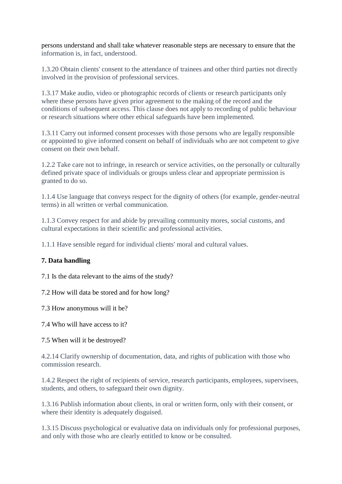persons understand and shall take whatever reasonable steps are necessary to ensure that the information is, in fact, understood.

1.3.20 Obtain clients' consent to the attendance of trainees and other third parties not directly involved in the provision of professional services.

1.3.17 Make audio, video or photographic records of clients or research participants only where these persons have given prior agreement to the making of the record and the conditions of subsequent access. This clause does not apply to recording of public behaviour or research situations where other ethical safeguards have been implemented.

1.3.11 Carry out informed consent processes with those persons who are legally responsible or appointed to give informed consent on behalf of individuals who are not competent to give consent on their own behalf.

1.2.2 Take care not to infringe, in research or service activities, on the personally or culturally defined private space of individuals or groups unless clear and appropriate permission is granted to do so.

1.1.4 Use language that conveys respect for the dignity of others (for example, gender-neutral terms) in all written or verbal communication.

1.1.3 Convey respect for and abide by prevailing community mores, social customs, and cultural expectations in their scientific and professional activities.

1.1.1 Have sensible regard for individual clients' moral and cultural values.

#### **7. Data handling**

7.1 Is the data relevant to the aims of the study?

7.2 How will data be stored and for how long?

7.3 How anonymous will it be?

7.4 Who will have access to it?

7.5 When will it be destroyed?

4.2.14 Clarify ownership of documentation, data, and rights of publication with those who commission research.

1.4.2 Respect the right of recipients of service, research participants, employees, supervisees, students, and others, to safeguard their own dignity.

1.3.16 Publish information about clients, in oral or written form, only with their consent, or where their identity is adequately disguised.

1.3.15 Discuss psychological or evaluative data on individuals only for professional purposes, and only with those who are clearly entitled to know or be consulted.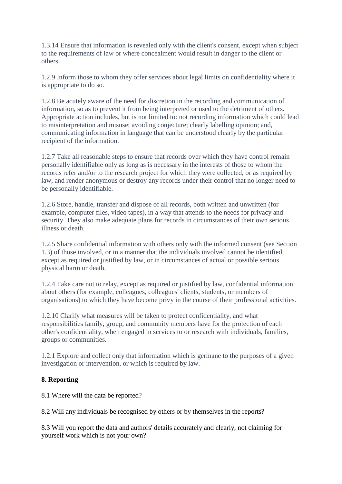1.3.14 Ensure that information is revealed only with the client's consent, except when subject to the requirements of law or where concealment would result in danger to the client or others.

1.2.9 Inform those to whom they offer services about legal limits on confidentiality where it is appropriate to do so.

1.2.8 Be acutely aware of the need for discretion in the recording and communication of information, so as to prevent it from being interpreted or used to the detriment of others. Appropriate action includes, but is not limited to: not recording information which could lead to misinterpretation and misuse; avoiding conjecture; clearly labelling opinion; and, communicating information in language that can be understood clearly by the particular recipient of the information.

1.2.7 Take all reasonable steps to ensure that records over which they have control remain personally identifiable only as long as is necessary in the interests of those to whom the records refer and/or to the research project for which they were collected, or as required by law, and render anonymous or destroy any records under their control that no longer need to be personally identifiable.

1.2.6 Store, handle, transfer and dispose of all records, both written and unwritten (for example, computer files, video tapes), in a way that attends to the needs for privacy and security. They also make adequate plans for records in circumstances of their own serious illness or death.

1.2.5 Share confidential information with others only with the informed consent (see Section 1.3) of those involved, or in a manner that the individuals involved cannot be identified, except as required or justified by law, or in circumstances of actual or possible serious physical harm or death.

1.2.4 Take care not to relay, except as required or justified by law, confidential information about others (for example, colleagues, colleagues' clients, students, or members of organisations) to which they have become privy in the course of their professional activities.

1.2.10 Clarify what measures will be taken to protect confidentiality, and what responsibilities family, group, and community members have for the protection of each other's confidentiality, when engaged in services to or research with individuals, families, groups or communities.

1.2.1 Explore and collect only that information which is germane to the purposes of a given investigation or intervention, or which is required by law.

## **8. Reporting**

8.1 Where will the data be reported?

8.2 Will any individuals be recognised by others or by themselves in the reports?

8.3 Will you report the data and authors' details accurately and clearly, not claiming for yourself work which is not your own?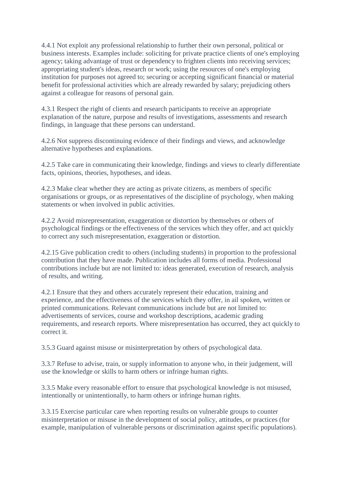4.4.1 Not exploit any professional relationship to further their own personal, political or business interests. Examples include: soliciting for private practice clients of one's employing agency; taking advantage of trust or dependency to frighten clients into receiving services; appropriating student's ideas, research or work; using the resources of one's employing institution for purposes not agreed to; securing or accepting significant financial or material benefit for professional activities which are already rewarded by salary; prejudicing others against a colleague for reasons of personal gain.

4.3.1 Respect the right of clients and research participants to receive an appropriate explanation of the nature, purpose and results of investigations, assessments and research findings, in language that these persons can understand.

4.2.6 Not suppress discontinuing evidence of their findings and views, and acknowledge alternative hypotheses and explanations.

4.2.5 Take care in communicating their knowledge, findings and views to clearly differentiate facts, opinions, theories, hypotheses, and ideas.

4.2.3 Make clear whether they are acting as private citizens, as members of specific organisations or groups, or as representatives of the discipline of psychology, when making statements or when involved in public activities.

4.2.2 Avoid misrepresentation, exaggeration or distortion by themselves or others of psychological findings or the effectiveness of the services which they offer, and act quickly to correct any such misrepresentation, exaggeration or distortion.

4.2.15 Give publication credit to others (including students) in proportion to the professional contribution that they have made. Publication includes all forms of media. Professional contributions include but are not limited to: ideas generated, execution of research, analysis of results, and writing.

4.2.1 Ensure that they and others accurately represent their education, training and experience, and the effectiveness of the services which they offer, in ail spoken, written or printed communications. Relevant communications include but are not limited to: advertisements of services, course and workshop descriptions, academic grading requirements, and research reports. Where misrepresentation has occurred, they act quickly to correct it.

3.5.3 Guard against misuse or misinterpretation by others of psychological data.

3.3.7 Refuse to advise, train, or supply information to anyone who, in their judgement, will use the knowledge or skills to harm others or infringe human rights.

3.3.5 Make every reasonable effort to ensure that psychological knowledge is not misused, intentionally or unintentionally, to harm others or infringe human rights.

3.3.15 Exercise particular care when reporting results on vulnerable groups to counter misinterpretation or misuse in the development of social policy, attitudes, or practices (for example, manipulation of vulnerable persons or discrimination against specific populations).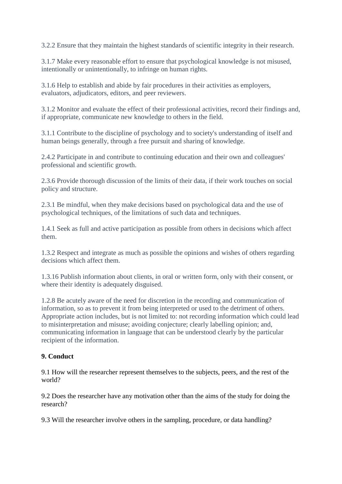3.2.2 Ensure that they maintain the highest standards of scientific integrity in their research.

3.1.7 Make every reasonable effort to ensure that psychological knowledge is not misused, intentionally or unintentionally, to infringe on human rights.

3.1.6 Help to establish and abide by fair procedures in their activities as employers, evaluators, adjudicators, editors, and peer reviewers.

3.1.2 Monitor and evaluate the effect of their professional activities, record their findings and, if appropriate, communicate new knowledge to others in the field.

3.1.1 Contribute to the discipline of psychology and to society's understanding of itself and human beings generally, through a free pursuit and sharing of knowledge.

2.4.2 Participate in and contribute to continuing education and their own and colleagues' professional and scientific growth.

2.3.6 Provide thorough discussion of the limits of their data, if their work touches on social policy and structure.

2.3.1 Be mindful, when they make decisions based on psychological data and the use of psychological techniques, of the limitations of such data and techniques.

1.4.1 Seek as full and active participation as possible from others in decisions which affect them.

1.3.2 Respect and integrate as much as possible the opinions and wishes of others regarding decisions which affect them.

1.3.16 Publish information about clients, in oral or written form, only with their consent, or where their identity is adequately disguised.

1.2.8 Be acutely aware of the need for discretion in the recording and communication of information, so as to prevent it from being interpreted or used to the detriment of others. Appropriate action includes, but is not limited to: not recording information which could lead to misinterpretation and misuse; avoiding conjecture; clearly labelling opinion; and, communicating information in language that can be understood clearly by the particular recipient of the information.

## **9. Conduct**

9.1 How will the researcher represent themselves to the subjects, peers, and the rest of the world?

9.2 Does the researcher have any motivation other than the aims of the study for doing the research?

9.3 Will the researcher involve others in the sampling, procedure, or data handling?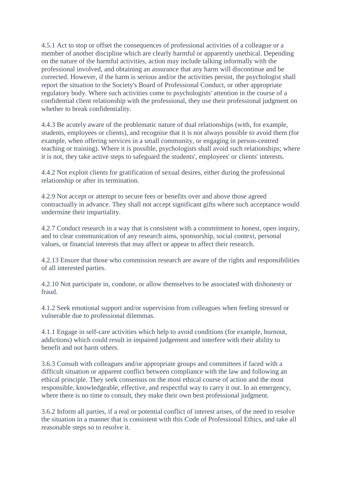4.5.1 Act to stop or offset the consequences of professional activities of a colleague or a member of another discipline which are clearly harmful or apparently unethical. Depending on the nature of the harmful activities, action may include talking informally with the professional involved, and obtaining an assurance that any harm will discontinue and be corrected. However, if the harm is serious and/or the activities persist, the psychologist shall report the situation to the Society's Board of Professional Conduct, or other appropriate regulatory body. Where such activities come to psychologists' attention in the course of a confidential client relationship with the professional, they use their professional judgment on whether to break confidentiality.

4.4.3 Be acutely aware of the problematic nature of dual relationships (with, for example, students, employees or clients), and recognise that it is not always possible to avoid them (for example, when offering services in a small community, or engaging in person-centred teaching or training). Where it is possible, psychologists shall avoid such relationships; where it is not, they take active steps to safeguard the students', employees' or clients' interests.

4.4.2 Not exploit clients for gratification of sexual desires, either during the professional relationship or after its termination.

4.2.9 Not accept or attempt to secure fees or benefits over and above those agreed contractually in advance. They shall not accept significant gifts where such acceptance would undermine their impartiality.

4.2.7 Conduct research in a way that is consistent with a commitment to honest, open inquiry, and to clear communication of any research aims, sponsorship, social context, personal values, or financial interests that may affect or appear to affect their research.

4.2.13 Ensure that those who commission research are aware of the rights and responsibilities of all interested parties.

4.2.10 Not participate in, condone, or allow themselves to be associated with dishonesty or fraud.

4.1.2 Seek emotional support and/or supervision from colleagues when feeling stressed or vulnerable due to professional dilemmas.

4.1.1 Engage in self-care activities which help to avoid conditions (for example, burnout, addictions) which could result in impaired judgement and interfere with their ability to benefit and not harm others.

3.6.3 Consult with colleagues and/or appropriate groups and committees if faced with a difficult situation or apparent conflict between compliance with the law and following an ethical principle. They seek consensus on the most ethical course of action and the most responsible, knowledgeable, effective, and respectful way to carry it out. In an emergency, where there is no time to consult, they make their own best professional judgment.

3.6.2 Inform all parties, if a real or potential conflict of interest arises, of the need to resolve the situation in a manner that is consistent with this Code of Professional Ethics, and take all reasonable steps so to resolve it.